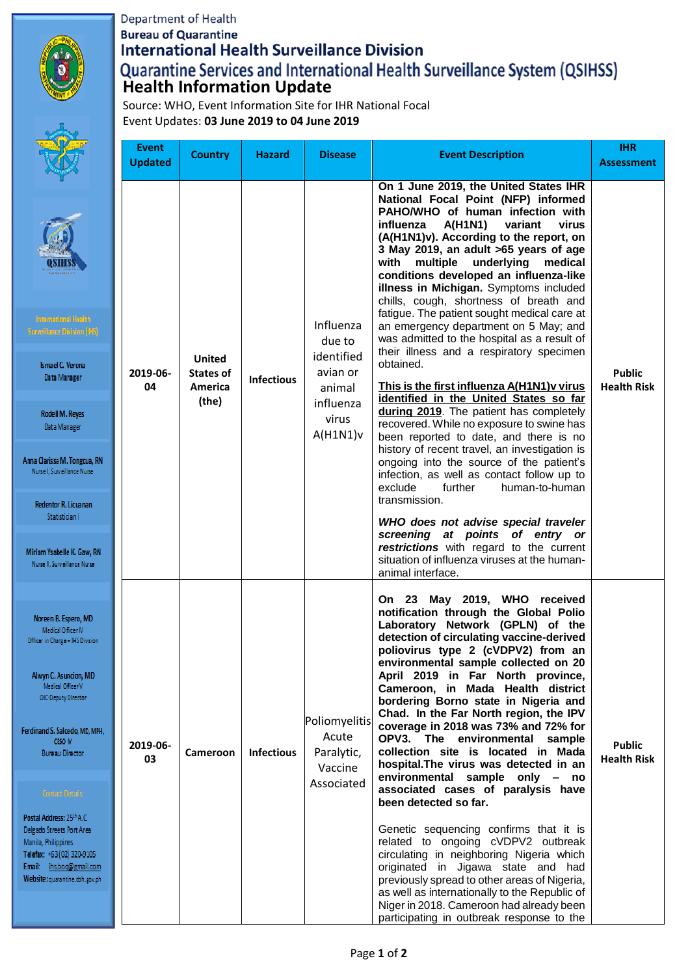

## Department of Health **Bureau of Quarantine International Health Surveillance Division Quarantine Services and International Health Surveillance System (QSIHSS)**<br>Health Information Update

Source: WHO, Event Information Site for IHR National Focal Event Updates: **03 June 2019 to 04 June 2019**

|                                                                                                                                                                                                                                                                                                                                                                                                                                   | <b>Event</b><br><b>Updated</b> | <b>Country</b>                                               | <b>Hazard</b>     | <b>Disease</b>                                                                            | <b>Event Description</b>                                                                                                                                                                                                                                                                                                                                                                                                                                                                                                                                                                                                                                                                                                                                                                                                                                                                                                                                                                                                                                                                                                                                                                                                                                     | <b>IHR</b><br><b>Assessment</b>     |
|-----------------------------------------------------------------------------------------------------------------------------------------------------------------------------------------------------------------------------------------------------------------------------------------------------------------------------------------------------------------------------------------------------------------------------------|--------------------------------|--------------------------------------------------------------|-------------------|-------------------------------------------------------------------------------------------|--------------------------------------------------------------------------------------------------------------------------------------------------------------------------------------------------------------------------------------------------------------------------------------------------------------------------------------------------------------------------------------------------------------------------------------------------------------------------------------------------------------------------------------------------------------------------------------------------------------------------------------------------------------------------------------------------------------------------------------------------------------------------------------------------------------------------------------------------------------------------------------------------------------------------------------------------------------------------------------------------------------------------------------------------------------------------------------------------------------------------------------------------------------------------------------------------------------------------------------------------------------|-------------------------------------|
| <b>International Health</b><br><b>Surveillance Division (IHS)</b><br>Ismael C. Verona<br>Data Manager<br>Rodell M. Reyes<br>Data Manager<br>Anna Clarissa M. Tongcua, RN<br>Nurse I, Surveillance Nurse<br>Redentor R. Licuanan<br>Statistician I<br>Miriam Ysabelle K. Gaw, RN<br>Nurse II, Surveillance Nurse                                                                                                                   | 2019-06-<br>04                 | <b>United</b><br><b>States of</b><br><b>America</b><br>(the) | <b>Infectious</b> | Influenza<br>due to<br>identified<br>avian or<br>animal<br>influenza<br>virus<br>A(H1N1)v | On 1 June 2019, the United States IHR<br>National Focal Point (NFP) informed<br>PAHO/WHO of human infection with<br><b>A(H1N1)</b><br>influenza<br>variant<br>virus<br>(A(H1N1)v). According to the report, on<br>3 May 2019, an adult >65 years of age<br>underlying<br>with<br>multiple<br>medical<br>conditions developed an influenza-like<br>illness in Michigan. Symptoms included<br>chills, cough, shortness of breath and<br>fatigue. The patient sought medical care at<br>an emergency department on 5 May; and<br>was admitted to the hospital as a result of<br>their illness and a respiratory specimen<br>obtained.<br>This is the first influenza A(H1N1) v virus<br>identified in the United States so far<br>during 2019. The patient has completely<br>recovered. While no exposure to swine has<br>been reported to date, and there is no<br>history of recent travel, an investigation is<br>ongoing into the source of the patient's<br>infection, as well as contact follow up to<br>exclude<br>human-to-human<br>further<br>transmission.<br>WHO does not advise special traveler<br>screening at points of entry or<br>restrictions with regard to the current<br>situation of influenza viruses at the human-<br>animal interface. | <b>Public</b><br><b>Health Risk</b> |
| Noreen B. Espero, MD<br>Medical Officer IV<br>Officer in Charge - IHS Division<br>Alwyn C. Asuncion, MD<br>Medical Officer V<br>OIC-Deputy Director<br>erdinand S. Salcedo, MD, MPH,<br><b>CESO IV</b><br><b>Bureau Director</b><br>Contact Details:<br>Postal Address: 25th A.C.<br>Delgado Streets Port Area<br>Manila, Philippines<br>Felefax: +63 (02) 320-9105<br>Email: ihs.boq@gmail.com<br>Nebsite: quarantine.doh.gov.ph | 2019-06-<br>03                 | Cameroon                                                     | <b>Infectious</b> | <b>Poliomyelitis</b><br>Acute<br>Paralytic,<br>Vaccine<br>Associated                      | On 23 May 2019, WHO received<br>notification through the Global Polio<br>Laboratory Network (GPLN) of the<br>detection of circulating vaccine-derived<br>poliovirus type 2 (cVDPV2) from an<br>environmental sample collected on 20<br>April 2019 in Far North province,<br>Cameroon, in Mada Health district<br>bordering Borno state in Nigeria and<br>Chad. In the Far North region, the IPV<br>coverage in 2018 was 73% and 72% for<br>OPV3. The environmental sample<br>collection site is located in Mada<br>hospital. The virus was detected in an<br>environmental sample only - no<br>associated cases of paralysis have<br>been detected so far.<br>Genetic sequencing confirms that it is<br>related to ongoing cVDPV2 outbreak<br>circulating in neighboring Nigeria which<br>originated in Jigawa state and had<br>previously spread to other areas of Nigeria,<br>as well as internationally to the Republic of<br>Niger in 2018. Cameroon had already been<br>participating in outbreak response to the                                                                                                                                                                                                                                       | <b>Public</b><br><b>Health Risk</b> |